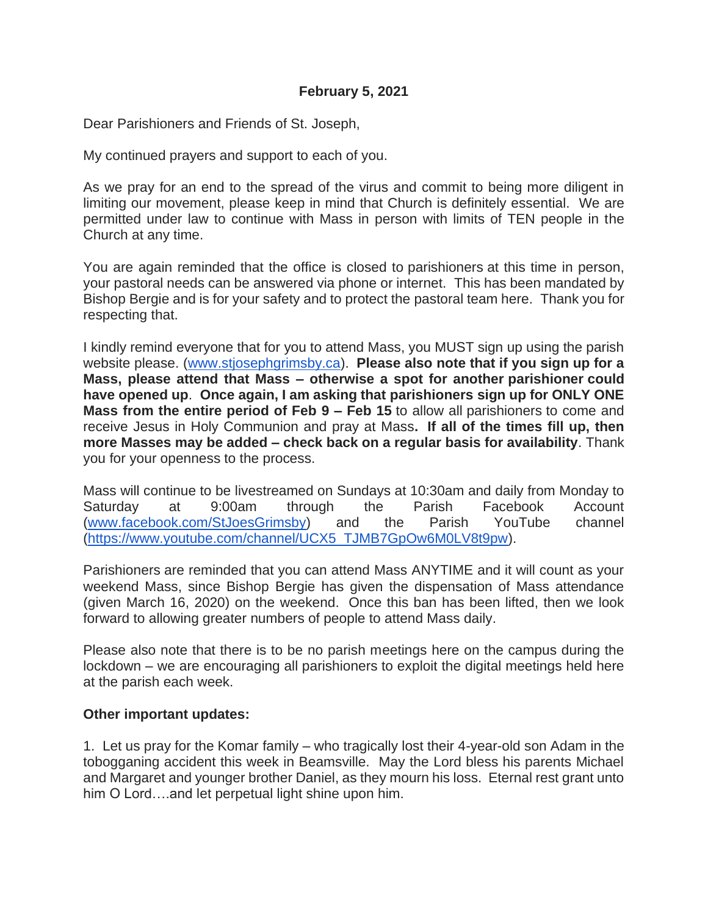Dear Parishioners and Friends of St. Joseph,

My continued prayers and support to each of you.

As we pray for an end to the spread of the virus and commit to being more diligent in limiting our movement, please keep in mind that Church is definitely essential. We are permitted under law to continue with Mass in person with limits of TEN people in the Church at any time.

You are again reminded that the office is closed to parishioners at this time in person, your pastoral needs can be answered via phone or internet. This has been mandated by Bishop Bergie and is for your safety and to protect the pastoral team here. Thank you for respecting that.

I kindly remind everyone that for you to attend Mass, you MUST sign up using the parish website please. [\(www.stjosephgrimsby.ca\)](http://www.stjosephgrimsby.ca/). **Please also note that if you sign up for a Mass, please attend that Mass – otherwise a spot for another parishioner could have opened up**. **Once again, I am asking that parishioners sign up for ONLY ONE Mass from the entire period of Feb 9 – Feb 15** to allow all parishioners to come and receive Jesus in Holy Communion and pray at Mass**. If all of the times fill up, then more Masses may be added – check back on a regular basis for availability**. Thank you for your openness to the process.

Mass will continue to be livestreamed on Sundays at 10:30am and daily from Monday to Saturday at 9:00am through the Parish Facebook Account [\(www.facebook.com/StJoesGrimsby\)](http://www.facebook.com/StJoesGrimsby) and the Parish YouTube channel [\(https://www.youtube.com/channel/UCX5\\_TJMB7GpOw6M0LV8t9pw\)](https://www.youtube.com/channel/UCX5_TJMB7GpOw6M0LV8t9pw).

Parishioners are reminded that you can attend Mass ANYTIME and it will count as your weekend Mass, since Bishop Bergie has given the dispensation of Mass attendance (given March 16, 2020) on the weekend. Once this ban has been lifted, then we look forward to allowing greater numbers of people to attend Mass daily.

Please also note that there is to be no parish meetings here on the campus during the lockdown – we are encouraging all parishioners to exploit the digital meetings held here at the parish each week.

## **Other important updates:**

1. Let us pray for the Komar family – who tragically lost their 4-year-old son Adam in the tobogganing accident this week in Beamsville. May the Lord bless his parents Michael and Margaret and younger brother Daniel, as they mourn his loss. Eternal rest grant unto him O Lord….and let perpetual light shine upon him.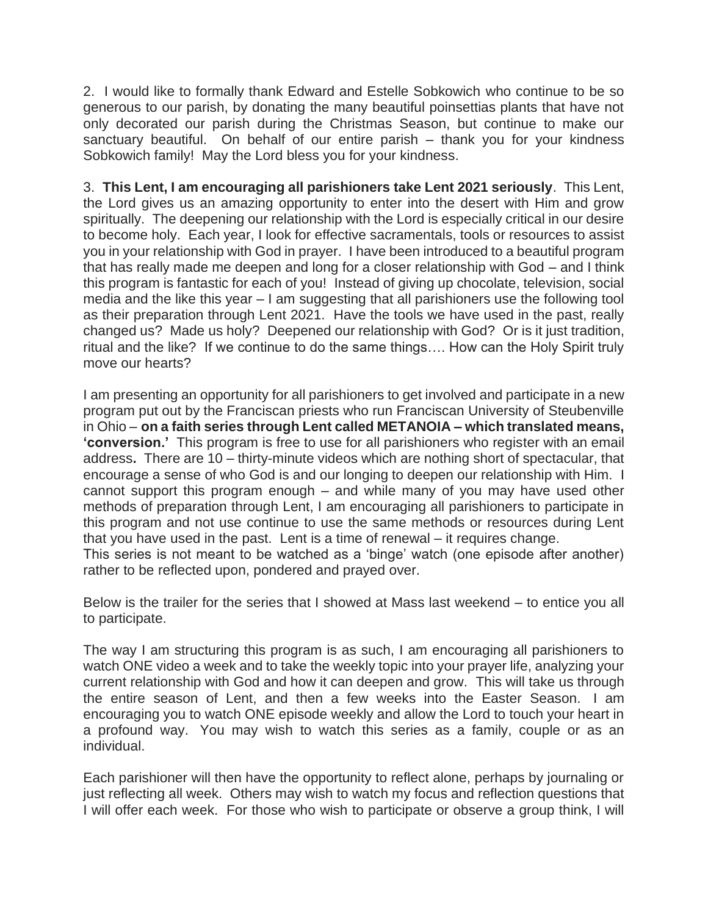2. I would like to formally thank Edward and Estelle Sobkowich who continue to be so generous to our parish, by donating the many beautiful poinsettias plants that have not only decorated our parish during the Christmas Season, but continue to make our sanctuary beautiful. On behalf of our entire parish – thank you for your kindness Sobkowich family! May the Lord bless you for your kindness.

3. **This Lent, I am encouraging all parishioners take Lent 2021 seriously**. This Lent, the Lord gives us an amazing opportunity to enter into the desert with Him and grow spiritually. The deepening our relationship with the Lord is especially critical in our desire to become holy. Each year, I look for effective sacramentals, tools or resources to assist you in your relationship with God in prayer. I have been introduced to a beautiful program that has really made me deepen and long for a closer relationship with God – and I think this program is fantastic for each of you! Instead of giving up chocolate, television, social media and the like this year – I am suggesting that all parishioners use the following tool as their preparation through Lent 2021. Have the tools we have used in the past, really changed us? Made us holy? Deepened our relationship with God? Or is it just tradition, ritual and the like? If we continue to do the same things…. How can the Holy Spirit truly move our hearts?

I am presenting an opportunity for all parishioners to get involved and participate in a new program put out by the Franciscan priests who run Franciscan University of Steubenville in Ohio – **on a faith series through Lent called METANOIA – which translated means, 'conversion.'** This program is free to use for all parishioners who register with an email address**.** There are 10 – thirty-minute videos which are nothing short of spectacular, that encourage a sense of who God is and our longing to deepen our relationship with Him. I cannot support this program enough – and while many of you may have used other methods of preparation through Lent, I am encouraging all parishioners to participate in this program and not use continue to use the same methods or resources during Lent that you have used in the past. Lent is a time of renewal – it requires change.

This series is not meant to be watched as a 'binge' watch (one episode after another) rather to be reflected upon, pondered and prayed over.

Below is the trailer for the series that I showed at Mass last weekend – to entice you all to participate.

The way I am structuring this program is as such, I am encouraging all parishioners to watch ONE video a week and to take the weekly topic into your prayer life, analyzing your current relationship with God and how it can deepen and grow. This will take us through the entire season of Lent, and then a few weeks into the Easter Season. I am encouraging you to watch ONE episode weekly and allow the Lord to touch your heart in a profound way. You may wish to watch this series as a family, couple or as an individual.

Each parishioner will then have the opportunity to reflect alone, perhaps by journaling or just reflecting all week. Others may wish to watch my focus and reflection questions that I will offer each week. For those who wish to participate or observe a group think, I will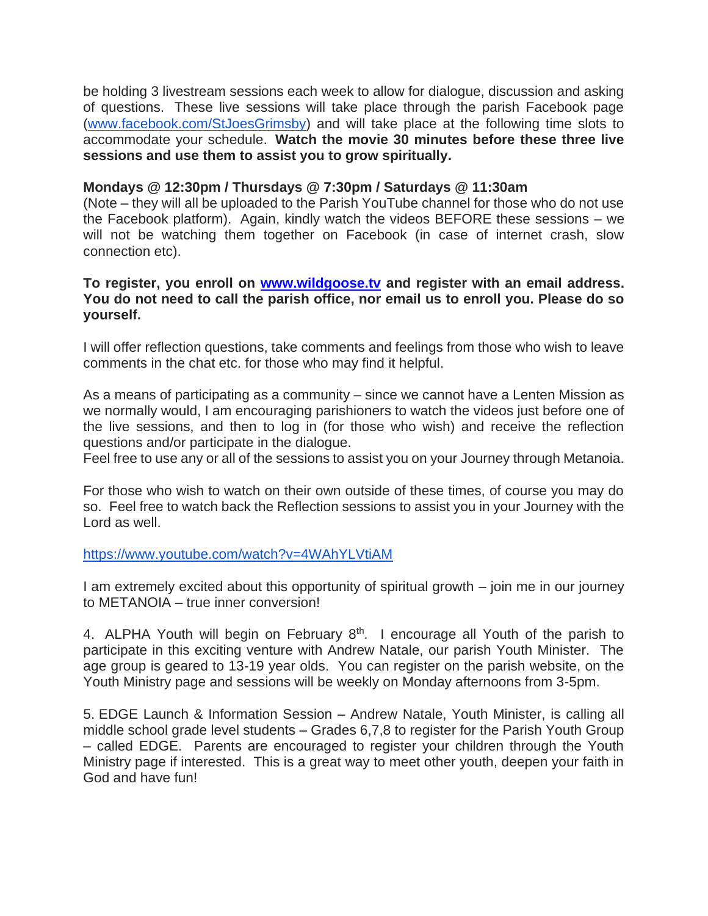be holding 3 livestream sessions each week to allow for dialogue, discussion and asking of questions. These live sessions will take place through the parish Facebook page [\(www.facebook.com/StJoesGrimsby\)](http://www.facebook.com/StJoesGrimsby) and will take place at the following time slots to accommodate your schedule. **Watch the movie 30 minutes before these three live sessions and use them to assist you to grow spiritually.**

## **Mondays @ 12:30pm / Thursdays @ 7:30pm / Saturdays @ 11:30am**

(Note – they will all be uploaded to the Parish YouTube channel for those who do not use the Facebook platform). Again, kindly watch the videos BEFORE these sessions – we will not be watching them together on Facebook (in case of internet crash, slow connection etc).

**To register, you enroll on [www.wildgoose.tv](http://www.wildgoose.tv/) and register with an email address. You do not need to call the parish office, nor email us to enroll you. Please do so yourself.** 

I will offer reflection questions, take comments and feelings from those who wish to leave comments in the chat etc. for those who may find it helpful.

As a means of participating as a community – since we cannot have a Lenten Mission as we normally would, I am encouraging parishioners to watch the videos just before one of the live sessions, and then to log in (for those who wish) and receive the reflection questions and/or participate in the dialogue.

Feel free to use any or all of the sessions to assist you on your Journey through Metanoia.

For those who wish to watch on their own outside of these times, of course you may do so. Feel free to watch back the Reflection sessions to assist you in your Journey with the Lord as well.

## <https://www.youtube.com/watch?v=4WAhYLVtiAM>

I am extremely excited about this opportunity of spiritual growth – join me in our journey to METANOIA – true inner conversion!

4. ALPHA Youth will begin on February 8<sup>th</sup>. I encourage all Youth of the parish to participate in this exciting venture with Andrew Natale, our parish Youth Minister. The age group is geared to 13-19 year olds. You can register on the parish website, on the Youth Ministry page and sessions will be weekly on Monday afternoons from 3-5pm.

5. EDGE Launch & Information Session – Andrew Natale, Youth Minister, is calling all middle school grade level students – Grades 6,7,8 to register for the Parish Youth Group – called EDGE. Parents are encouraged to register your children through the Youth Ministry page if interested. This is a great way to meet other youth, deepen your faith in God and have fun!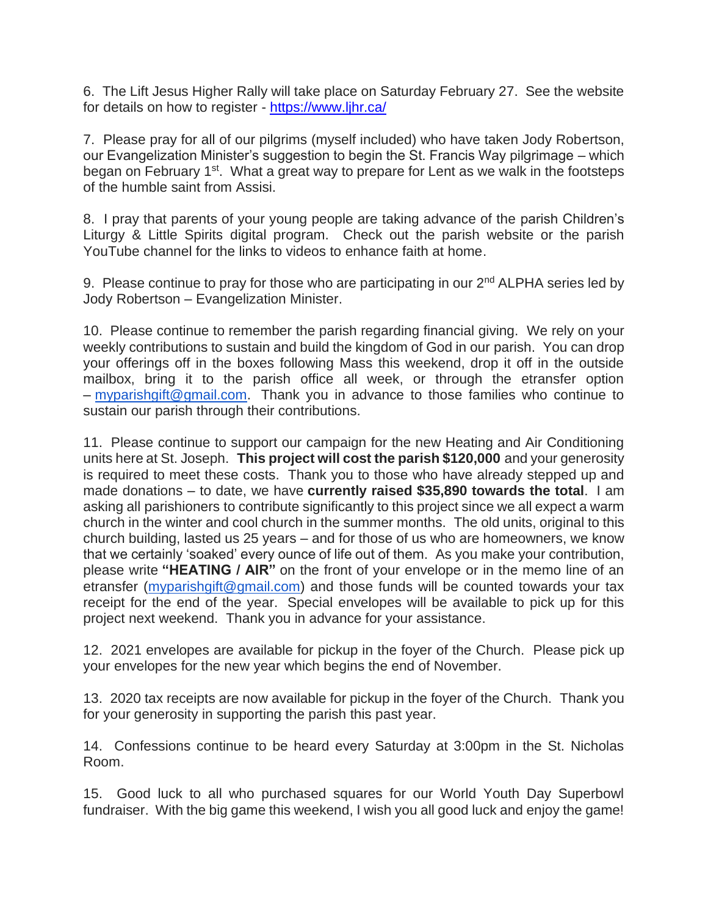6. The Lift Jesus Higher Rally will take place on Saturday February 27. See the website for details on how to register - <https://www.ljhr.ca/>

7. Please pray for all of our pilgrims (myself included) who have taken Jody Robertson, our Evangelization Minister's suggestion to begin the St. Francis Way pilgrimage – which began on February 1<sup>st</sup>. What a great way to prepare for Lent as we walk in the footsteps of the humble saint from Assisi.

8. I pray that parents of your young people are taking advance of the parish Children's Liturgy & Little Spirits digital program. Check out the parish website or the parish YouTube channel for the links to videos to enhance faith at home.

9. Please continue to pray for those who are participating in our 2<sup>nd</sup> ALPHA series led by Jody Robertson – Evangelization Minister.

10. Please continue to remember the parish regarding financial giving. We rely on your weekly contributions to sustain and build the kingdom of God in our parish. You can drop your offerings off in the boxes following Mass this weekend, drop it off in the outside mailbox, bring it to the parish office all week, or through the etransfer option – [myparishgift@gmail.com.](mailto:myparishgift@gmail.com) Thank you in advance to those families who continue to sustain our parish through their contributions.

11. Please continue to support our campaign for the new Heating and Air Conditioning units here at St. Joseph. **This project will cost the parish \$120,000** and your generosity is required to meet these costs. Thank you to those who have already stepped up and made donations – to date, we have **currently raised \$35,890 towards the total**. I am asking all parishioners to contribute significantly to this project since we all expect a warm church in the winter and cool church in the summer months. The old units, original to this church building, lasted us 25 years – and for those of us who are homeowners, we know that we certainly 'soaked' every ounce of life out of them. As you make your contribution, please write **"HEATING / AIR"** on the front of your envelope or in the memo line of an etransfer [\(myparishgift@gmail.com\)](mailto:myparishgift@gmail.com) and those funds will be counted towards your tax receipt for the end of the year. Special envelopes will be available to pick up for this project next weekend. Thank you in advance for your assistance.

12. 2021 envelopes are available for pickup in the foyer of the Church. Please pick up your envelopes for the new year which begins the end of November.

13. 2020 tax receipts are now available for pickup in the foyer of the Church. Thank you for your generosity in supporting the parish this past year.

14. Confessions continue to be heard every Saturday at 3:00pm in the St. Nicholas Room.

15. Good luck to all who purchased squares for our World Youth Day Superbowl fundraiser. With the big game this weekend, I wish you all good luck and enjoy the game!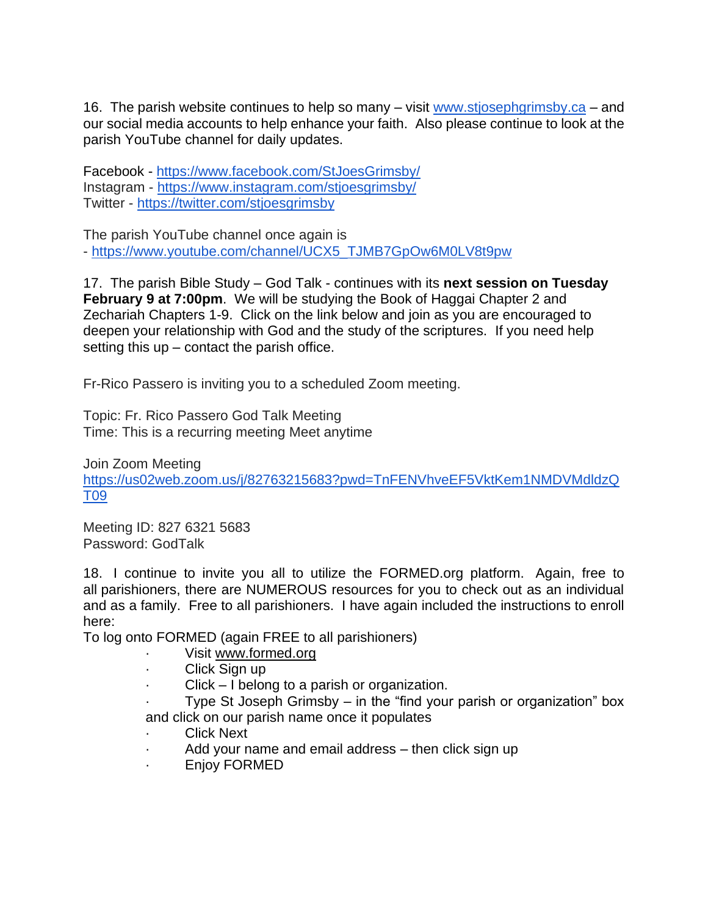16. The parish website continues to help so many – visit [www.stjosephgrimsby.ca](http://www.stjosephgrimsby.ca/) – and our social media accounts to help enhance your faith. Also please continue to look at the parish YouTube channel for daily updates.

Facebook - <https://www.facebook.com/StJoesGrimsby/> Instagram - <https://www.instagram.com/stjoesgrimsby/> Twitter - <https://twitter.com/stjoesgrimsby>

The parish YouTube channel once again is - [https://www.youtube.com/channel/UCX5\\_TJMB7GpOw6M0LV8t9pw](https://www.youtube.com/channel/UCX5_TJMB7GpOw6M0LV8t9pw)

17. The parish Bible Study – God Talk - continues with its **next session on Tuesday February 9 at 7:00pm**. We will be studying the Book of Haggai Chapter 2 and Zechariah Chapters 1-9. Click on the link below and join as you are encouraged to deepen your relationship with God and the study of the scriptures. If you need help setting this  $up$  – contact the parish office.

Fr-Rico Passero is inviting you to a scheduled Zoom meeting.

Topic: Fr. Rico Passero God Talk Meeting Time: This is a recurring meeting Meet anytime

Join Zoom Meeting [https://us02web.zoom.us/j/82763215683?pwd=TnFENVhveEF5VktKem1NMDVMdldzQ](https://us02web.zoom.us/j/82763215683?pwd=TnFENVhveEF5VktKem1NMDVMdldzQT09) [T09](https://us02web.zoom.us/j/82763215683?pwd=TnFENVhveEF5VktKem1NMDVMdldzQT09)

Meeting ID: 827 6321 5683 Password: GodTalk

18. I continue to invite you all to utilize the FORMED.org platform. Again, free to all parishioners, there are NUMEROUS resources for you to check out as an individual and as a family. Free to all parishioners. I have again included the instructions to enroll here:

To log onto FORMED (again FREE to all parishioners)

- Visit [www.formed.org](http://www.formed.org/)
- · Click Sign up
- $Click I belong to a parish or organization.$
- Type St Joseph Grimsby  $-$  in the "find your parish or organization" box and click on our parish name once it populates
- **Click Next**
- Add your name and email address then click sign up
- · Enjoy FORMED